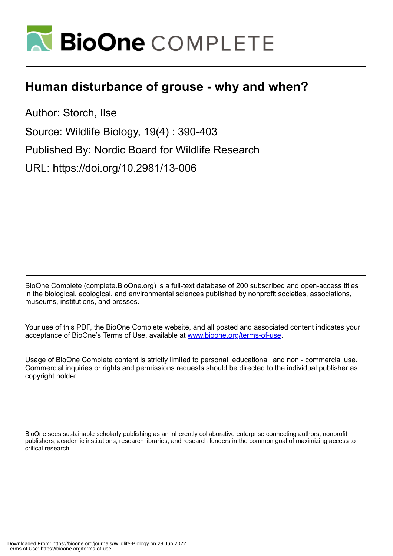

# **Human disturbance of grouse - why and when?**

Author: Storch, Ilse

Source: Wildlife Biology, 19(4) : 390-403

Published By: Nordic Board for Wildlife Research

URL: https://doi.org/10.2981/13-006

BioOne Complete (complete.BioOne.org) is a full-text database of 200 subscribed and open-access titles in the biological, ecological, and environmental sciences published by nonprofit societies, associations, museums, institutions, and presses.

Your use of this PDF, the BioOne Complete website, and all posted and associated content indicates your acceptance of BioOne's Terms of Use, available at www.bioone.org/terms-of-use.

Usage of BioOne Complete content is strictly limited to personal, educational, and non - commercial use. Commercial inquiries or rights and permissions requests should be directed to the individual publisher as copyright holder.

BioOne sees sustainable scholarly publishing as an inherently collaborative enterprise connecting authors, nonprofit publishers, academic institutions, research libraries, and research funders in the common goal of maximizing access to critical research.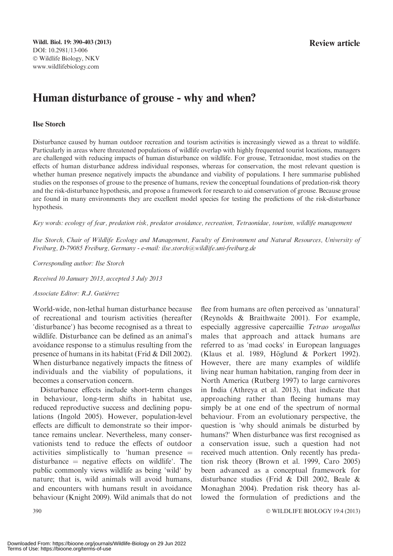Wildl. Biol. 19: 390-403 (2013) Review article DOI: 10.2981/13-006 © Wildlife Biology, NKV www.wildlifebiology.com

## Human disturbance of grouse - why and when?

#### Ilse Storch

Disturbance caused by human outdoor recreation and tourism activities is increasingly viewed as a threat to wildlife. Particularly in areas where threatened populations of wildlife overlap with highly frequented tourist locations, managers are challenged with reducing impacts of human disturbance on wildlife. For grouse, Tetraonidae, most studies on the effects of human disturbance address individual responses, whereas for conservation, the most relevant question is whether human presence negatively impacts the abundance and viability of populations. I here summarise published studies on the responses of grouse to the presence of humans, review the conceptual foundations of predation-risk theory and the risk-disturbance hypothesis, and propose a framework for research to aid conservation of grouse. Because grouse are found in many environments they are excellent model species for testing the predictions of the risk-disturbance hypothesis.

Key words: ecology of fear, predation risk, predator avoidance, recreation, Tetraonidae, tourism, wildlife management

Ilse Storch, Chair of Wildlife Ecology and Management, Faculty of Environment and Natural Resources, University of Freiburg, D-79085 Freiburg, Germany - e-mail: ilse.storch@wildlife.uni-freiburg.de

Corresponding author: Ilse Storch

Received 10 January 2013, accepted 3 July 2013

Associate Editor: R.J. Gutiérrez

World-wide, non-lethal human disturbance because of recreational and tourism activities (hereafter 'disturbance') has become recognised as a threat to wildlife. Disturbance can be defined as an animal's avoidance response to a stimulus resulting from the presence of humans in its habitat (Frid & Dill 2002). When disturbance negatively impacts the fitness of individuals and the viability of populations, it becomes a conservation concern.

Disturbance effects include short-term changes in behaviour, long-term shifts in habitat use, reduced reproductive success and declining populations (Ingold 2005). However, population-level effects are difficult to demonstrate so their importance remains unclear. Nevertheless, many conservationists tend to reduce the effects of outdoor activities simplistically to 'human presence  $=$  $distance = negative$  effects on wildlife'. The public commonly views wildlife as being 'wild' by nature; that is, wild animals will avoid humans, and encounters with humans result in avoidance behaviour (Knight 2009). Wild animals that do not

flee from humans are often perceived as 'unnatural' (Reynolds & Braithwaite 2001). For example, especially aggressive capercaillie Tetrao urogallus males that approach and attack humans are referred to as 'mad cocks' in European languages (Klaus et al. 1989, Höglund & Porkert 1992). However, there are many examples of wildlife living near human habitation, ranging from deer in North America (Rutberg 1997) to large carnivores in India (Athreya et al. 2013), that indicate that approaching rather than fleeing humans may simply be at one end of the spectrum of normal behaviour. From an evolutionary perspective, the question is 'why should animals be disturbed by humans?' When disturbance was first recognised as a conservation issue, such a question had not received much attention. Only recently has predation risk theory (Brown et al. 1999, Caro 2005) been advanced as a conceptual framework for disturbance studies (Frid & Dill 2002, Beale & Monaghan 2004). Predation risk theory has allowed the formulation of predictions and the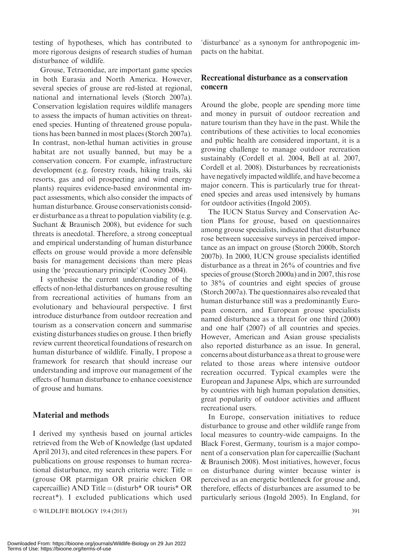testing of hypotheses, which has contributed to more rigorous designs of research studies of human disturbance of wildlife.

Grouse, Tetraonidae, are important game species in both Eurasia and North America. However, several species of grouse are red-listed at regional, national and international levels (Storch 2007a). Conservation legislation requires wildlife managers to assess the impacts of human activities on threatened species. Hunting of threatened grouse populations has been banned in most places (Storch 2007a). In contrast, non-lethal human activities in grouse habitat are not usually banned, but may be a conservation concern. For example, infrastructure development (e.g. forestry roads, hiking trails, ski resorts, gas and oil prospecting and wind energy plants) requires evidence-based environmental impact assessments, which also consider the impacts of human disturbance. Grouse conservationists consider disturbance as a threat to population viability (e.g. Suchant & Braunisch 2008), but evidence for such threats is anecdotal. Therefore, a strong conceptual and empirical understanding of human disturbance effects on grouse would provide a more defensible basis for management decisions than mere pleas using the 'precautionary principle' (Cooney 2004).

I synthesise the current understanding of the effects of non-lethal disturbances on grouse resulting from recreational activities of humans from an evolutionary and behavioural perspective. I first introduce disturbance from outdoor recreation and tourism as a conservation concern and summarise existing disturbances studies on grouse. I then briefly review current theoretical foundations of research on human disturbance of wildlife. Finally, I propose a framework for research that should increase our understanding and improve our management of the effects of human disturbance to enhance coexistence of grouse and humans.

## Material and methods

I derived my synthesis based on journal articles retrieved from the Web of Knowledge (last updated April 2013), and cited references in these papers. For publications on grouse responses to human recreational disturbance, my search criteria were: Title  $=$ (grouse OR ptarmigan OR prairie chicken OR capercaillie) AND Title  $=$  (disturb\* OR touris\* OR recreat\*). I excluded publications which used

© WILDLIFE BIOLOGY 19:4 (2013) 391

'disturbance' as a synonym for anthropogenic impacts on the habitat.

## Recreational disturbance as a conservation concern

Around the globe, people are spending more time and money in pursuit of outdoor recreation and nature tourism than they have in the past. While the contributions of these activities to local economies and public health are considered important, it is a growing challenge to manage outdoor recreation sustainably (Cordell et al. 2004, Bell at al. 2007, Cordell et al. 2008). Disturbances by recreationists have negatively impacted wildlife, and have become a major concern. This is particularly true for threatened species and areas used intensively by humans for outdoor activities (Ingold 2005).

The IUCN Status Survey and Conservation Action Plans for grouse, based on questionnaires among grouse specialists, indicated that disturbance rose between successive surveys in perceived importance as an impact on grouse (Storch 2000b, Storch 2007b). In 2000, IUCN grouse specialists identified disturbance as a threat in 26% of countries and five species of grouse (Storch 2000a) and in 2007, this rose to 38% of countries and eight species of grouse (Storch 2007a). The questionnaires also revealed that human disturbance still was a predominantly European concern, and European grouse specialists named disturbance as a threat for one third (2000) and one half (2007) of all countries and species. However, American and Asian grouse specialists also reported disturbance as an issue. In general, concerns about disturbance as a threat to grouse were related to those areas where intensive outdoor recreation occurred. Typical examples were the European and Japanese Alps, which are surrounded by countries with high human population densities, great popularity of outdoor activities and affluent recreational users.

In Europe, conservation initiatives to reduce disturbance to grouse and other wildlife range from local measures to country-wide campaigns. In the Black Forest, Germany, tourism is a major component of a conservation plan for capercaillie (Suchant & Braunisch 2008). Most initiatives, however, focus on disturbance during winter because winter is perceived as an energetic bottleneck for grouse and, therefore, effects of disturbances are assumed to be particularly serious (Ingold 2005). In England, for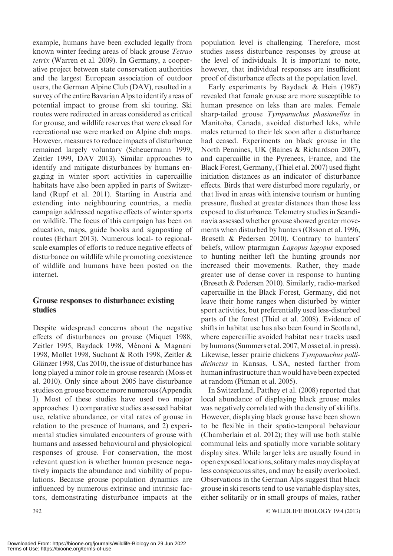example, humans have been excluded legally from known winter feeding areas of black grouse Tetrao tetrix (Warren et al. 2009). In Germany, a cooperative project between state conservation authorities and the largest European association of outdoor users, the German Alpine Club (DAV), resulted in a survey of the entire Bavarian Alps to identify areas of potential impact to grouse from ski touring. Ski routes were redirected in areas considered as critical for grouse, and wildlife reserves that were closed for recreational use were marked on Alpine club maps. However, measures to reduce impacts of disturbance remained largely voluntary (Scheuermann 1999, Zeitler 1999, DAV 2013). Similar approaches to identify and mitigate disturbances by humans engaging in winter sport activities in capercaillie habitats have also been applied in parts of Switzerland (Rupf et al. 2011). Starting in Austria and extending into neighbouring countries, a media campaign addressed negative effects of winter sports on wildlife. The focus of this campaign has been on education, maps, guide books and signposting of routes (Erhart 2013). Numerous local- to regionalscale examples of efforts to reduce negative effects of disturbance on wildlife while promoting coexistence of wildlife and humans have been posted on the internet.

## Grouse responses to disturbance: existing studies

Despite widespread concerns about the negative effects of disturbances on grouse (Miquet 1988, Zeitler 1995, Baydack 1998, Ménoni & Magnani 1998, Mollet 1998, Suchant & Roth 1998, Zeitler & Glänzer 1998, Cas 2010), the issue of disturbance has long played a minor role in grouse research (Moss et al. 2010). Only since about 2005 have disturbance studies on grouse become more numerous (Appendix I). Most of these studies have used two major approaches: 1) comparative studies assessed habitat use, relative abundance, or vital rates of grouse in relation to the presence of humans, and 2) experimental studies simulated encounters of grouse with humans and assessed behavioural and physiological responses of grouse. For conservation, the most relevant question is whether human presence negatively impacts the abundance and viability of populations. Because grouse population dynamics are influenced by numerous extrinsic and intrinsic factors, demonstrating disturbance impacts at the

Early experiments by Baydack & Hein (1987) revealed that female grouse are more susceptible to human presence on leks than are males. Female sharp-tailed grouse Tympanuchus phasianellus in Manitoba, Canada, avoided disturbed leks, while males returned to their lek soon after a disturbance had ceased. Experiments on black grouse in the North Pennines, UK (Baines & Richardson 2007), and capercaillie in the Pyrenees, France, and the Black Forest, Germany, (Thiel et al. 2007) used flight initiation distances as an indicator of disturbance effects. Birds that were disturbed more regularly, or that lived in areas with intensive tourism or hunting pressure, flushed at greater distances than those less exposed to disturbance. Telemetry studies in Scandinavia assessed whether grouse showed greater movements when disturbed by hunters (Olsson et al. 1996, Brøseth & Pedersen 2010). Contrary to hunters' beliefs, willow ptarmigan Lagopus lagopus exposed to hunting neither left the hunting grounds nor increased their movements. Rather, they made greater use of dense cover in response to hunting (Brøseth & Pedersen 2010). Similarly, radio-marked capercaillie in the Black Forest, Germany, did not leave their home ranges when disturbed by winter sport activities, but preferentially used less-disturbed parts of the forest (Thiel et al. 2008). Evidence of shifts in habitat use has also been found in Scotland, where capercaillie avoided habitat near tracks used by humans (Summers et al. 2007, Moss et al. in press). Likewise, lesser prairie chickens Tympanuchus pallidicinctus in Kansas, USA, nested farther from human infrastructure than would have been expected at random (Pitman et al. 2005).

In Switzerland, Patthey et al. (2008) reported that local abundance of displaying black grouse males was negatively correlated with the density of ski lifts. However, displaying black grouse have been shown to be flexible in their spatio-temporal behaviour (Chamberlain et al. 2012); they will use both stable communal leks and spatially more variable solitary display sites. While larger leks are usually found in open exposedlocations, solitary males may display at less conspicuous sites, and may be easily overlooked. Observations in the German Alps suggest that black grouse in ski resorts tend to use variable display sites, either solitarily or in small groups of males, rather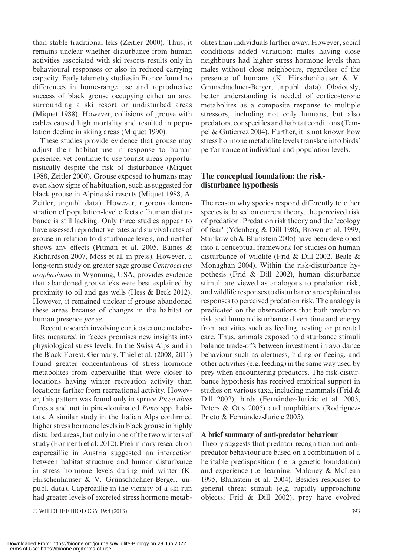than stable traditional leks (Zeitler 2000). Thus, it remains unclear whether disturbance from human activities associated with ski resorts results only in behavioural responses or also in reduced carrying capacity. Early telemetry studies in France found no differences in home-range use and reproductive success of black grouse occupying either an area surrounding a ski resort or undisturbed areas (Miquet 1988). However, collisions of grouse with cables caused high mortality and resulted in population decline in skiing areas (Miquet 1990).

These studies provide evidence that grouse may adjust their habitat use in response to human presence, yet continue to use tourist areas opportunistically despite the risk of disturbance (Miquet 1988, Zeitler 2000). Grouse exposed to humans may even show signs of habituation, such as suggested for black grouse in Alpine ski resorts (Miquet 1988, A. Zeitler, unpubl. data). However, rigorous demonstration of population-level effects of human disturbance is still lacking. Only three studies appear to have assessed reproductive rates and survival rates of grouse in relation to disturbance levels, and neither shows any effects (Pitman et al. 2005, Baines & Richardson 2007, Moss et al. in press). However, a long-term study on greater sage grouse Centrocercus urophasianus in Wyoming, USA, provides evidence that abandoned grouse leks were best explained by proximity to oil and gas wells (Hess & Beck 2012). However, it remained unclear if grouse abandoned these areas because of changes in the habitat or human presence per se.

Recent research involving corticosterone metabolites measured in faeces promises new insights into physiological stress levels. In the Swiss Alps and in the Black Forest, Germany, Thiel et al. (2008, 2011) found greater concentrations of stress hormone metabolites from capercaillie that were closer to locations having winter recreation activity than locations farther from recreational activity. However, this pattern was found only in spruce Picea abies forests and not in pine-dominated Pinus spp. habitats. A similar study in the Italian Alps confirmed higher stress hormone levels in black grouse in highly disturbed areas, but only in one of the two winters of study (Formenti et al. 2012). Preliminary research on capercaillie in Austria suggested an interaction between habitat structure and human disturbance in stress hormone levels during mid winter (K. Hirschenhauser & V. Grünschachner-Berger, unpubl. data). Capercaillie in the vicinity of a ski run had greater levels of excreted stress hormone metab-

© WILDLIFE BIOLOGY 19:4 (2013) 393

olites than individuals farther away. However, social conditions added variation: males having close neighbours had higher stress hormone levels than males without close neighbours, regardless of the presence of humans (K. Hirschenhauser & V. Grünschachner-Berger, unpubl. data). Obviously, better understanding is needed of corticosterone metabolites as a composite response to multiple stressors, including not only humans, but also predators, conspecifics and habitat conditions (Tempel  $&$  Gutiérrez 2004). Further, it is not known how stress hormone metabolite levels translate into birds' performance at individual and population levels.

## The conceptual foundation: the riskdisturbance hypothesis

The reason why species respond differently to other species is, based on current theory, the perceived risk of predation. Predation risk theory and the 'ecology of fear' (Ydenberg & Dill 1986, Brown et al. 1999, Stankowich & Blumstein 2005) have been developed into a conceptual framework for studies on human disturbance of wildlife (Frid & Dill 2002, Beale & Monaghan 2004). Within the risk-disturbance hypothesis (Frid & Dill 2002), human disturbance stimuli are viewed as analogous to predation risk, and wildlife responses to disturbance are explained as responses to perceived predation risk. The analogy is predicated on the observations that both predation risk and human disturbance divert time and energy from activities such as feeding, resting or parental care. Thus, animals exposed to disturbance stimuli balance trade-offs between investment in avoidance behaviour such as alertness, hiding or fleeing, and other activities (e.g. feeding) in the same way used by prey when encountering predators. The risk-disturbance hypothesis has received empirical support in studies on various taxa, including mammals (Frid & Dill 2002), birds (Fernández-Juricic et al. 2003, Peters & Otis 2005) and amphibians (Rodriguez-Prieto & Fernández-Juricic 2005).

#### A brief summary of anti-predator behaviour

Theory suggests that predator recognition and antipredator behaviour are based on a combination of a heritable predisposition (i.e. a genetic foundation) and experience (i.e. learning; Maloney & McLean 1995, Blumstein et al. 2004). Besides responses to general threat stimuli (e.g. rapidly approaching objects; Frid & Dill 2002), prey have evolved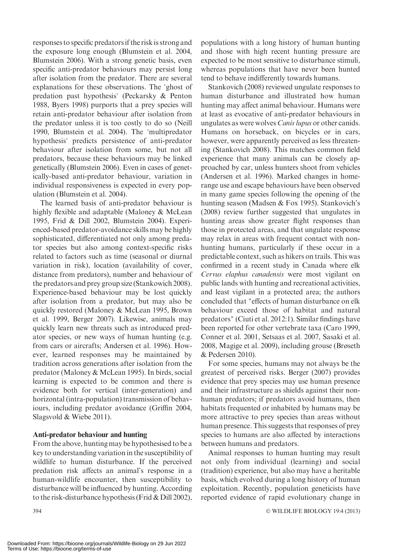responses to specific predators if the risk is strong and the exposure long enough (Blumstein et al. 2004, Blumstein 2006). With a strong genetic basis, even specific anti-predator behaviours may persist long after isolation from the predator. There are several explanations for these observations. The 'ghost of predation past hypothesis' (Peckarsky & Penton 1988, Byers 1998) purports that a prey species will retain anti-predator behaviour after isolation from the predator unless it is too costly to do so (Neill 1990, Blumstein et al. 2004). The 'multipredator hypothesis' predicts persistence of anti-predator behaviour after isolation from some, but not all predators, because these behaviours may be linked genetically (Blumstein 2006). Even in cases of genetically-based anti-predator behaviour, variation in individual responsiveness is expected in every population (Blumstein et al. 2004).

The learned basis of anti-predator behaviour is highly flexible and adaptable (Maloney & McLean 1995, Frid & Dill 2002, Blumstein 2004). Experienced-based predator-avoidance skills may be highly sophisticated, differentiated not only among predator species but also among context-specific risks related to factors such as time (seasonal or diurnal variation in risk), location (availability of cover, distance from predators), number and behaviour of the predators and prey group size (Stankowich 2008). Experience-based behaviour may be lost quickly after isolation from a predator, but may also be quickly restored (Maloney & McLean 1995, Brown et al. 1999, Berger 2007). Likewise, animals may quickly learn new threats such as introduced predator species, or new ways of human hunting (e.g. from cars or aircrafts; Andersen et al. 1996). However, learned responses may be maintained by tradition across generations after isolation from the predator (Maloney & McLean 1995). In birds, social learning is expected to be common and there is evidence both for vertical (inter-generation) and horizontal (intra-population) transmission of behaviours, including predator avoidance (Griffin 2004, Slagsvold & Wiebe 2011).

#### Anti-predator behaviour and hunting

From the above, hunting may be hypothesised to be a key to understanding variation in the susceptibility of wildlife to human disturbance. If the perceived predation risk affects an animal's response in a human-wildlife encounter, then susceptibility to disturbance will be influenced by hunting. According to the risk-disturbance hypothesis (Frid & Dill 2002),

populations with a long history of human hunting and those with high recent hunting pressure are expected to be most sensitive to disturbance stimuli, whereas populations that have never been hunted tend to behave indifferently towards humans.

Stankovich (2008) reviewed ungulate responses to human disturbance and illustrated how human hunting may affect animal behaviour. Humans were at least as evocative of anti-predator behaviours in ungulates as were wolves *Canis lupus* or other canids. Humans on horseback, on bicycles or in cars, however, were apparently perceived as less threatening (Stankovich 2008). This matches common field experience that many animals can be closely approached by car, unless hunters shoot from vehicles (Andersen et al. 1996). Marked changes in homerange use and escape behaviours have been observed in many game species following the opening of the hunting season (Madsen & Fox 1995). Stankovich's (2008) review further suggested that ungulates in hunting areas show greater flight responses than those in protected areas, and that ungulate response may relax in areas with frequent contact with nonhunting humans, particularly if these occur in a predictable context, such as hikers on trails. This was confirmed in a recent study in Canada where elk Cervus elaphus canadensis were most vigilant on public lands with hunting and recreational activities, and least vigilant in a protected area; the authors concluded that "effects of human disturbance on elk behaviour exceed those of habitat and natural predators" (Ciuti et al. 2012:1). Similar findings have been reported for other vertebrate taxa (Caro 1999, Conner et al. 2001, Setsaas et al. 2007, Sasaki et al. 2008, Magige et al. 2009), including grouse (Brøseth & Pedersen 2010).

For some species, humans may not always be the greatest of perceived risks. Berger (2007) provides evidence that prey species may use human presence and their infrastructure as shields against their nonhuman predators; if predators avoid humans, then habitats frequented or inhabited by humans may be more attractive to prey species than areas without human presence. This suggests that responses of prey species to humans are also affected by interactions between humans and predators.

Animal responses to human hunting may result not only from individual (learning) and social (tradition) experience, but also may have a heritable basis, which evolved during a long history of human exploitation. Recently, population geneticists have reported evidence of rapid evolutionary change in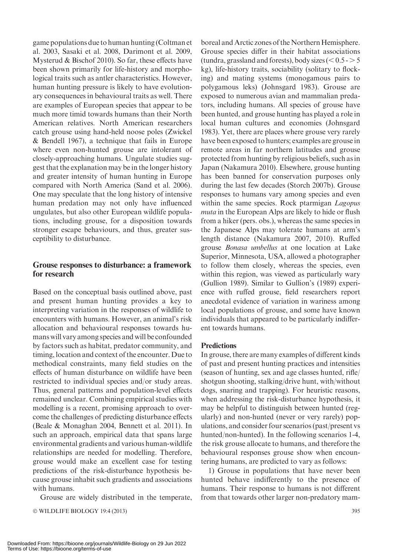game populations due to human hunting (Coltman et al. 2003, Sasaki et al. 2008, Darimont et al. 2009, Mysterud & Bischof 2010). So far, these effects have been shown primarily for life-history and morphological traits such as antler characteristics. However, human hunting pressure is likely to have evolutionary consequences in behavioural traits as well. There are examples of European species that appear to be much more timid towards humans than their North American relatives. North American researchers catch grouse using hand-held noose poles (Zwickel & Bendell 1967), a technique that fails in Europe where even non-hunted grouse are intolerant of closely-approaching humans. Ungulate studies suggest that the explanation may be in the longer history and greater intensity of human hunting in Europe compared with North America (Sand et al. 2006). One may speculate that the long history of intensive human predation may not only have influenced ungulates, but also other European wildlife populations, including grouse, for a disposition towards stronger escape behaviours, and thus, greater susceptibility to disturbance.

## Grouse responses to disturbance: a framework for research

Based on the conceptual basis outlined above, past and present human hunting provides a key to interpreting variation in the responses of wildlife to encounters with humans. However, an animal's risk allocation and behavioural responses towards humans will vary among species and will be confounded by factors such as habitat, predator community, and timing, location and context of the encounter. Due to methodical constraints, many field studies on the effects of human disturbance on wildlife have been restricted to individual species and/or study areas. Thus, general patterns and population-level effects remained unclear. Combining empirical studies with modelling is a recent, promising approach to overcome the challenges of predicting disturbance effects (Beale & Monaghan 2004, Bennett et al. 2011). In such an approach, empirical data that spans large environmental gradients and various human-wildlife relationships are needed for modelling. Therefore, grouse would make an excellent case for testing predictions of the risk-disturbance hypothesis because grouse inhabit such gradients and associations with humans.

Grouse are widely distributed in the temperate,

© WILDLIFE BIOLOGY 19:4 (2013) 395

boreal and Arctic zones of the Northern Hemisphere. Grouse species differ in their habitat associations (tundra, grassland and forests), body sizes  $(< 0.5 - > 5$ kg), life-history traits, sociability (solitary to flocking) and mating systems (monogamous pairs to polygamous leks) (Johnsgard 1983). Grouse are exposed to numerous avian and mammalian predators, including humans. All species of grouse have been hunted, and grouse hunting has played a role in local human cultures and economies (Johnsgard 1983). Yet, there are places where grouse very rarely have been exposed to hunters; examples are grouse in remote areas in far northern latitudes and grouse protected from hunting by religious beliefs, such as in Japan (Nakamura 2010). Elsewhere, grouse hunting has been banned for conservation purposes only during the last few decades (Storch 2007b). Grouse responses to humans vary among species and even within the same species. Rock ptarmigan *Lagopus* muta in the European Alps are likely to hide or flush from a hiker (pers. obs.), whereas the same species in the Japanese Alps may tolerate humans at arm's length distance (Nakamura 2007, 2010). Ruffed grouse Bonasa umbellus at one location at Lake Superior, Minnesota, USA, allowed a photographer to follow them closely, whereas the species, even within this region, was viewed as particularly wary (Gullion 1989). Similar to Gullion's (1989) experience with ruffed grouse, field researchers report anecdotal evidence of variation in wariness among local populations of grouse, and some have known individuals that appeared to be particularly indifferent towards humans.

#### **Predictions**

In grouse, there are many examples of different kinds of past and present hunting practices and intensities (season of hunting, sex and age classes hunted, rifle/ shotgun shooting, stalking/drive hunt, with/without dogs, snaring and trapping). For heuristic reasons, when addressing the risk-disturbance hypothesis, it may be helpful to distinguish between hunted (regularly) and non-hunted (never or very rarely) populations, and consider four scenarios (past/present vs hunted/non-hunted). In the following scenarios 1-4, the risk grouse allocate to humans, and therefore the behavioural responses grouse show when encountering humans, are predicted to vary as follows:

1) Grouse in populations that have never been hunted behave indifferently to the presence of humans. Their response to humans is not different from that towards other larger non-predatory mam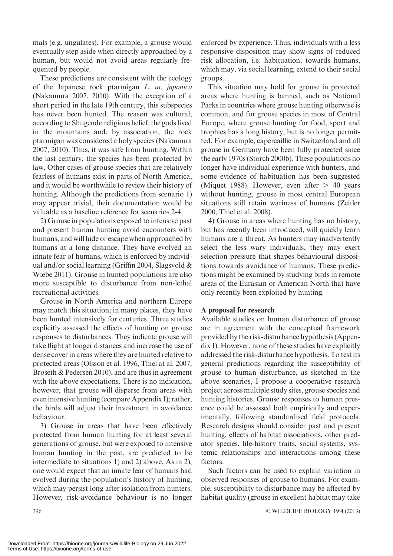mals (e.g. ungulates). For example, a grouse would eventually step aside when directly approached by a human, but would not avoid areas regularly frequented by people.

These predictions are consistent with the ecology of the Japanese rock ptarmigan L. m. japonica (Nakamura 2007, 2010). With the exception of a short period in the late 19th century, this subspecies has never been hunted. The reason was cultural; according to Shugendo religious belief, the gods lived in the mountains and, by association, the rock ptarmigan was considered a holy species (Nakamura 2007, 2010). Thus, it was safe from hunting. Within the last century, the species has been protected by law. Other cases of grouse species that are relatively fearless of humans exist in parts of North America, and it would be worthwhile to review their history of hunting. Although the predictions from scenario 1) may appear trivial, their documentation would be valuable as a baseline reference for scenarios 2-4.

2) Grouse in populations exposed to intensive past and present human hunting avoid encounters with humans, and will hide or escape when approached by humans at a long distance. They have evolved an innate fear of humans, which is enforced by individual and/or social learning (Griffin 2004, Slagsvold  $\&$ Wiebe 2011). Grouse in hunted populations are also more susceptible to disturbance from non-lethal recreational activities.

Grouse in North America and northern Europe may match this situation; in many places, they have been hunted intensively for centuries. Three studies explicitly assessed the effects of hunting on grouse responses to disturbances. They indicate grouse will take flight at longer distances and increase the use of dense cover in areas where they are hunted relative to protected areas (Olsson et al. 1996, Thiel at al. 2007, Brøseth & Pedersen 2010), and are thus in agreement with the above expectations. There is no indication, however, that grouse will disperse from areas with even intensive hunting (compare Appendix I); rather, the birds will adjust their investment in avoidance behaviour.

3) Grouse in areas that have been effectively protected from human hunting for at least several generations of grouse, but were exposed to intensive human hunting in the past, are predicted to be intermediate to situations 1) and 2) above. As in 2), one would expect that an innate fear of humans had evolved during the population's history of hunting, which may persist long after isolation from hunters. However, risk-avoidance behaviour is no longer enforced by experience. Thus, individuals with a less responsive disposition may show signs of reduced risk allocation, i.e. habituation, towards humans, which may, via social learning, extend to their social groups.

This situation may hold for grouse in protected areas where hunting is banned, such as National Parks in countries where grouse hunting otherwise is common, and for grouse species in most of Central Europe, where grouse hunting for food, sport and trophies has a long history, but is no longer permitted. For example, capercaillie in Switzerland and all grouse in Germany have been fully protected since the early 1970s (Storch 2000b). These populations no longer have individual experience with hunters, and some evidence of habituation has been suggested (Miquet 1988). However, even after  $> 40$  years without hunting, grouse in most central European situations still retain wariness of humans (Zeitler 2000, Thiel et al. 2008).

4) Grouse in areas where hunting has no history, but has recently been introduced, will quickly learn humans are a threat. As hunters may inadvertently select the less wary individuals, they may exert selection pressure that shapes behavioural dispositions towards avoidance of humans. These predictions might be examined by studying birds in remote areas of the Eurasian or American North that have only recently been exploited by hunting.

#### A proposal for research

Available studies on human disturbance of grouse are in agreement with the conceptual framework provided by the risk-disturbance hypothesis (Appendix I). However, none of these studies have explicitly addressed the risk-disturbance hypothesis. To test its general predictions regarding the susceptibility of grouse to human disturbance, as sketched in the above scenarios, I propose a cooperative research project across multiple study sites, grouse species and hunting histories. Grouse responses to human presence could be assessed both empirically and experimentally, following standardised field protocols. Research designs should consider past and present hunting, effects of habitat associations, other predator species, life-history traits, social systems, systemic relationships and interactions among these factors.

Such factors can be used to explain variation in observed responses of grouse to humans. For example, susceptibility to disturbance may be affected by habitat quality (grouse in excellent habitat may take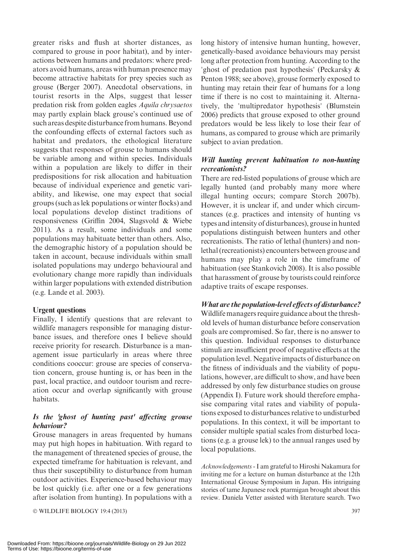greater risks and flush at shorter distances, as compared to grouse in poor habitat), and by interactions between humans and predators: where predators avoid humans, areas with human presence may become attractive habitats for prey species such as grouse (Berger 2007). Anecdotal observations, in tourist resorts in the Alps, suggest that lesser predation risk from golden eagles Aquila chrysaetos may partly explain black grouse's continued use of such areas despite disturbance from humans. Beyond the confounding effects of external factors such as habitat and predators, the ethological literature suggests that responses of grouse to humans should be variable among and within species. Individuals within a population are likely to differ in their predispositions for risk allocation and habituation because of individual experience and genetic variability, and likewise, one may expect that social groups (such as lek populations or winter flocks) and local populations develop distinct traditions of responsiveness (Griffin 2004, Slagsvold & Wiebe 2011). As a result, some individuals and some populations may habituate better than others. Also, the demographic history of a population should be taken in account, because individuals within small isolated populations may undergo behavioural and evolutionary change more rapidly than individuals within larger populations with extended distribution (e.g. Lande et al. 2003).

## Urgent questions

Finally, I identify questions that are relevant to wildlife managers responsible for managing disturbance issues, and therefore ones I believe should receive priority for research. Disturbance is a management issue particularly in areas where three conditions cooccur: grouse are species of conservation concern, grouse hunting is, or has been in the past, local practice, and outdoor tourism and recreation occur and overlap significantly with grouse habitats.

## Is the 'ghost of hunting past' affecting grouse behaviour?

Grouse managers in areas frequented by humans may put high hopes in habituation. With regard to the management of threatened species of grouse, the expected timeframe for habituation is relevant, and thus their susceptibility to disturbance from human outdoor activities. Experience-based behaviour may be lost quickly (i.e. after one or a few generations after isolation from hunting). In populations with a

© WILDLIFE BIOLOGY 19:4 (2013) 397

long history of intensive human hunting, however, genetically-based avoidance behaviours may persist long after protection from hunting. According to the 'ghost of predation past hypothesis' (Peckarsky & Penton 1988; see above), grouse formerly exposed to hunting may retain their fear of humans for a long time if there is no cost to maintaining it. Alternatively, the 'multipredator hypothesis' (Blumstein 2006) predicts that grouse exposed to other ground predators would be less likely to lose their fear of humans, as compared to grouse which are primarily subject to avian predation.

## Will hunting prevent habituation to non-hunting recreationists?

There are red-listed populations of grouse which are legally hunted (and probably many more where illegal hunting occurs; compare Storch 2007b). However, it is unclear if, and under which circumstances (e.g. practices and intensity of hunting vs types and intensity of disturbances), grouse in hunted populations distinguish between hunters and other recreationists. The ratio of lethal (hunters) and nonlethal (recreationists) encounters between grouse and humans may play a role in the timeframe of habituation (see Stankovich 2008). It is also possible that harassment of grouse by tourists could reinforce adaptive traits of escape responses.

What are the population-level effects of disturbance? Wildlifemanagers require guidance about the threshold levels of human disturbance before conservation goals are compromised. So far, there is no answer to this question. Individual responses to disturbance stimuli are insufficient proof of negative effects at the population level. Negative impacts of disturbance on the fitness of individuals and the viability of populations, however, are difficult to show, and have been addressed by only few disturbance studies on grouse (Appendix I). Future work should therefore emphasise comparing vital rates and viability of populations exposed to disturbances relative to undisturbed populations. In this context, it will be important to consider multiple spatial scales from disturbed locations (e.g. a grouse lek) to the annual ranges used by local populations.

Acknowledgements- I am grateful to Hiroshi Nakamura for inviting me for a lecture on human disturbance at the 12th International Grouse Symposium in Japan. His intriguing stories of tame Japanese rock ptarmigan brought about this review. Daniela Vetter assisted with literature search. Two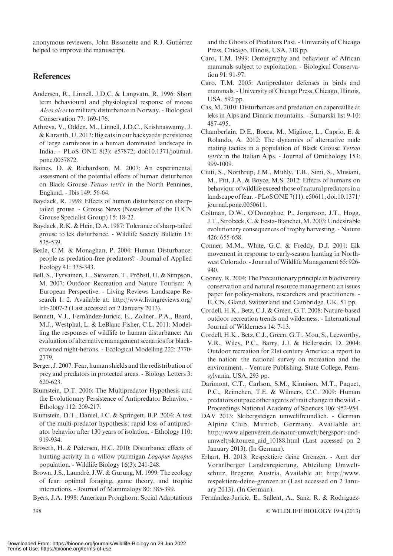anonymous reviewers, John Bissonette and R.J. Gutiérrez helped to improve the manuscript.

## **References**

- Andersen, R., Linnell, J.D.C. & Langvatn, R. 1996: Short term behavioural and physiological response of moose Alces alces to military disturbance in Norway. - Biological Conservation 77: 169-176.
- Athreya, V., Odden, M., Linnell, J.D.C., Krishnaswamy, J. & Karanth, U. 2013: Big cats in our backyards: persistence of large carnivores in a human dominated landscape in India. - PLoS ONE 8(3): e57872; doi:10.1371/journal. pone.0057872.
- Baines, D. & Richardson, M. 2007: An experimental assessment of the potential effects of human disturbance on Black Grouse Tetrao tetrix in the North Pennines, England. - Ibis 149: 56-64.
- Baydack, R. 1998: Effects of human disturbance on sharptailed grouse. - Grouse News (Newsletter of the IUCN Grouse Specialist Group) 15: 18-22.
- Baydack, R.K. & Hein, D.A. 1987: Tolerance of sharp-tailed grouse to lek disturbance. - Wildlife Society Bulletin 15: 535-539.
- Beale, C.M. & Monaghan, P. 2004: Human Disturbance: people as predation-free predators? - Journal of Applied Ecology 41: 335-343.
- Bell, S., Tyrvainen, L., Sievanen, T., Pröbstl, U. & Simpson, M. 2007: Outdoor Recreation and Nature Tourism: A European Perspective. - Living Reviews Landscape Research 1: 2. Available at: http://www.livingreviews.org/ lrlr-2007-2 (Last accessed on 2 January 2013).
- Bennett, V.J., Fernández-Juricic, E., Zollner, P.A., Beard, M.J., Westphal, L. & LeBlanc Fisher, C.L. 2011: Modelling the responses of wildlife to human disturbance: An evaluation of alternative management scenarios for blackcrowned night-herons. - Ecological Modelling 222: 2770- 2779.
- Berger, J. 2007: Fear, human shields and the redistribution of prey and predators in protected areas. - Biology Letters 3: 620-623.
- Blumstein, D.T. 2006: The Multipredator Hypothesis and the Evolutionary Persistence of Antipredator Behavior. - Ethology 112: 209-217.
- Blumstein, D.T., Daniel, J.C. & Springett, B.P. 2004: A test of the multi-predator hypothesis: rapid loss of antipredator behavior after 130 years of isolation. - Ethology 110: 919-934.
- Brøseth, H. & Pedersen, H.C. 2010: Disturbance effects of hunting activity in a willow ptarmigan Lagopus lagopus population. - Wildlife Biology 16(3): 241-248.
- Brown, J.S., Laundré, J.W. & Gurung, M. 1999: The ecology of fear: optimal foraging, game theory, and trophic interactions. - Journal of Mammalogy 80: 385-399.

Byers, J.A. 1998: American Pronghorn: Social Adaptations

and the Ghosts of Predators Past. - University of Chicago Press, Chicago, Illinois, USA, 318 pp.

- Caro, T.M. 1999: Demography and behaviour of African mammals subject to exploitation. - Biological Conservation 91: 91-97.
- Caro, T.M. 2005: Antipredator defenses in birds and mammals. - University of Chicago Press, Chicago, Illinois, USA, 592 pp.
- Cas, M. 2010: Disturbances and predation on capercaillie at leks in Alps and Dinaric mountains. - Šumarski list 9-10: 487-495.
- Chamberlain, D.E., Bocca, M., Migliore, L., Caprio, E. & Rolando, A. 2012: The dynamics of alternative male mating tactics in a population of Black Grouse Tetrao tetrix in the Italian Alps. - Journal of Ornithology 153: 999-1009.
- Ciuti, S., Northrup, J.M., Muhly, T.B., Simi, S., Musiani, M., Pitt, J.A. & Boyce, M.S. 2012: Effects of humans on behaviour of wildlife exceed those of natural predators in a landscape of fear. - PLoS ONE 7(11): e50611; doi:10.1371/ journal.pone.0050611.
- Coltman, D.W., O'Donoghue, P., Jorgenson, J.T., Hogg, J.T., Strobeck, C. & Festa-Bianchet, M. 2003: Undesirable evolutionary consequences of trophy harvesting. - Nature 426: 655-658.
- Conner, M.M., White, G.C. & Freddy, D.J. 2001: Elk movement in response to early-season hunting in Northwest Colorado. - Journal of Wildlife Management 65: 926-940.
- Cooney, R. 2004: The Precautionary principle in biodiversity conservation and natural resource management: an issues paper for policy-makers, researchers and practitioners. - IUCN, Gland, Switzerland and Cambridge, UK, 51 pp.
- Cordell, H.K., Betz, C.J. & Green, G.T. 2008: Nature-based outdoor recreation trends and wilderness. - International Journal of Wilderness 14: 7-13.
- Cordell, H.K., Betz, C.J., Green, G.T., Mou, S., Leeworthy, V.R., Wiley, P.C., Barry, J.J. & Hellerstein, D. 2004: Outdoor recreation for 21st century America: a report to the nation: the national survey on recreation and the environment. - Venture Publishing, State College, Pennsylvania, USA, 293 pp.
- Darimont, C.T., Carlson, S.M., Kinnison, M.T., Paquet, P.C., Reimchen, T.E. & Wilmers, C.C. 2009: Human predators outpace other agents of trait change in the wild. - Proceedings National Academy of Sciences 106: 952-954.
- DAV 2013: Skibergsteigen umweltfreundlich. German Alpine Club, Munich, Germany. Available at: http://www.alpenverein.de/natur-umwelt/bergsport-undumwelt/skitouren\_aid\_10188.html (Last accessed on 2 January 2013). (In German).
- Erhart, H. 2013: Respektiere deine Grenzen. Amt der Vorarlberger Landesregierung, Abteilung Umweltschutz, Bregenz, Austria. Available at: http://www. respektiere-deine-grenzen.at (Last accessed on 2 January 2013). (In German).
- Fernández-Juricic, E., Sallent, A., Sanz, R. & Rodriguez-

WILDLIFE BIOLOGY 19:4 (2013)

 $398$  -contract to the contract of the contract of the contract of the contract of the contract of the contract of the contract of the contract of the contract of the contract of the contract of the contract of the contra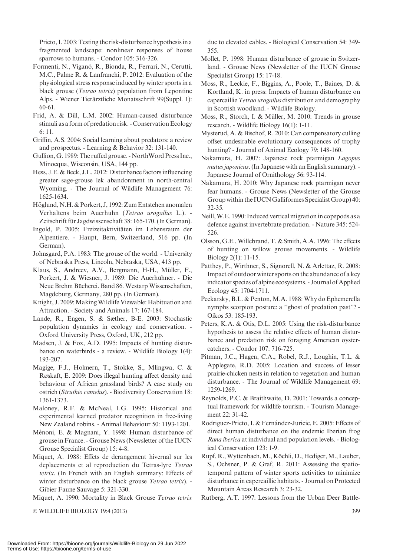Prieto, I. 2003: Testing the risk-disturbance hypothesis in a fragmented landscape: nonlinear responses of house sparrows to humans. - Condor 105: 316-326.

- Formenti, N., Viganò, R., Bionda, R., Ferrari, N., Cerutti, M.C., Palme R. & Lanfranchi, P. 2012: Evaluation of the physiological stress response induced by winter sports in a black grouse (Tetrao tetrix) population from Lepontine Alps. - Wiener Tierärztliche Monatsschrift 99(Suppl. 1): 60-61.
- Frid, A. & Dill, L.M. 2002: Human-caused disturbance stimuli as a form of predation risk. - Conservation Ecology  $6:11$
- Griffin, A.S. 2004: Social learning about predators: a review and prospectus. - Learning & Behavior 32: 131-140.
- Gullion, G. 1989: The ruffed grouse. NorthWord Press Inc., Minocqua, Wisconsin, USA, 144 pp.
- Hess, J.E. & Beck, J.L. 2012: Disturbance factors influencing greater sage-grouse lek abandonment in north-central Wyoming. - The Journal of Wildlife Management 76: 1625-1634.
- Höglund, N.H. & Porkert, J, 1992: Zum Entstehen anomalen Verhaltens beim Auerhuhn (Tetrao urogallus L.). - Zeitschrift für Jagdwissenschaft 38: 165-170. (In German).
- Ingold, P. 2005: Freizeitaktivitäten im Lebensraum der Alpentiere. - Haupt, Bern, Switzerland, 516 pp. (In German).
- Johnsgard, P.A. 1983: The grouse of the world. University of Nebraska Press, Lincoln, Nebraska, USA, 413 pp.
- Klaus, S., Andreev, A.V., Bergmann, H-H., Müller, F., Porkert, J. & Wiesner, J. 1989: Die Auerhühner. - Die Neue Brehm Bücherei. Band 86. Westarp Wissenschaften, Magdeburg, Germany, 280 pp. (In German).
- Knight, J. 2009: Making Wildlife Viewable: Habituation and Attraction. - Society and Animals 17: 167-184.
- Lande, R., Engen, S. & Sæther, B-E. 2003: Stochastic population dynamics in ecology and conservation. - Oxford University Press, Oxford, UK, 212 pp.
- Madsen, J. & Fox, A.D. 1995: Impacts of hunting disturbance on waterbirds - a review. - Wildlife Biology 1(4): 193-207.
- Magige, F.J., Holmern, T., Stokke, S., Mlingwa, C. & Røskaft, E. 2009: Does illegal hunting affect density and behaviour of African grassland birds? A case study on ostrich (Struthio camelus). - Biodiversity Conservation 18: 1361-1373.
- Maloney, R.F. & McNeal, I.G. 1995: Historical and experimental learned predator recognition in free-living New Zealand robins. - Animal Behaviour 50: 1193-1201.
- Ménoni, E. & Magnani, Y. 1998: Human disturbance of grouse in France. - Grouse News (Newsletter of the IUCN Grouse Specialist Group) 15: 4-8.
- Miquet, A. 1988: Effets de derangement hivernal sur les deplacements et al reproduction du Tetras-lyre Tetrao tetrix. (In French with an English summary: Effects of winter disturbance on the black grouse *Tetrao tetrix*). -Gibier Faune Sauvage 5: 321-330.

Miquet, A. 1990: Mortality in Black Grouse Tetrao tetrix

© WILDLIFE BIOLOGY 19:4 (2013) 399

due to elevated cables. - Biological Conservation 54: 349- 355.

- Mollet, P. 1998: Human disturbance of grouse in Switzerland. - Grouse News (Newsletter of the IUCN Grouse Specialist Group) 15: 17-18.
- Moss, R., Leckie, F., Biggins, A., Poole, T., Baines, D. & Kortland, K. in press: Impacts of human disturbance on capercaillie Tetrao urogallus distribution and demography in Scottish woodland. - Wildlife Biology.
- Moss, R., Storch, I. & Müller, M. 2010: Trends in grouse research. - Wildlife Biology 16(1): 1-11.
- Mysterud, A. & Bischof, R. 2010: Can compensatory culling offset undesirable evolutionary consequences of trophy hunting? - Journal of Animal Ecology 79: 148-160.
- Nakamura, H. 2007: Japanese rock ptarmigan Lagopus mutus japonicus. (In Japanese with an English summary). - Japanese Journal of Ornithology 56: 93-114.
- Nakamura, H. 2010: Why Japanese rock ptarmigan never fear humans. - Grouse News (Newsletter of the Grouse Group within the IUCNGalliformes Specialist Group) 40: 32-35.
- Neill,W.E. 1990: Induced vertical migration in copepods as a defence against invertebrate predation. - Nature 345: 524- 526.
- Olsson, G.E.,Willebrand, T. & Smith, A.A. 1996: The effects of hunting on willow grouse movements. - Wildlife Biology 2(1): 11-15.
- Patthey, P., Wirthner, S., Signorell, N. & Arlettaz, R. 2008: Impact of outdoor winter sports on the abundance of a key indicator species of alpine ecosystems. - Journal of Applied Ecology 45: 1704-1711.
- Peckarsky, B.L. & Penton, M.A. 1988: Why do Ephemerella nymphs scorpion posture: a ''ghost of predation past''? - Oikos 53: 185-193.
- Peters, K.A. & Otis, D.L. 2005: Using the risk-disturbance hypothesis to assess the relative effects of human disturbance and predation risk on foraging American oystercatchers. - Condor 107: 716-725.
- Pitman, J.C., Hagen, C.A., Robel, R.J., Loughin, T.L. & Applegate, R.D. 2005: Location and success of lesser prairie-chicken nests in relation to vegetation and human disturbance. - The Journal of Wildlife Management 69: 1259-1269.
- Reynolds, P.C. & Braithwaite, D. 2001: Towards a conceptual framework for wildlife tourism. - Tourism Management 22: 31-42.
- Rodriguez-Prieto, I. & Fernández-Juricic, E. 2005: Effects of direct human disturbance on the endemic Iberian frog Rana iberica at individual and population levels. - Biological Conservation 123: 1-9.
- Rupf, R., Wyttenbach, M., Köchli, D., Hediger, M., Lauber, S., Ochsner, P. & Graf, R. 2011: Assessing the spatiotemporal pattern of winter sports activities to minimize disturbance in capercaillie habitats. - Journal on Protected Mountain Areas Research 3: 23-32.
- Rutberg, A.T. 1997: Lessons from the Urban Deer Battle-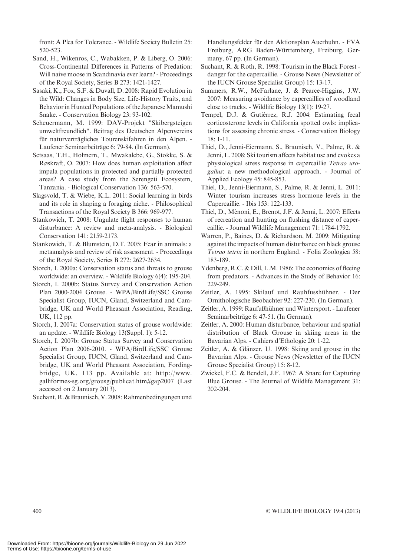front: A Plea for Tolerance. - Wildlife Society Bulletin 25: 520-523.

- Sand, H., Wikenros, C., Wabakken, P. & Liberg, O. 2006: Cross-Continental Differences in Patterns of Predation: Will naive moose in Scandinavia ever learn? - Proceedings of the Royal Society, Series B 273: 1421-1427.
- Sasaki, K., Fox, S.F. & Duvall, D. 2008: Rapid Evolution in the Wild: Changes in Body Size, Life-History Traits, and Behavior in Hunted Populations of the Japanese Mamushi Snake. - Conservation Biology 23: 93-102.
- Scheuermann, M. 1999: DAV-Projekt "Skibergsteigen umweltfreundlich". Beitrag des Deutschen Alpenvereins für naturverträgliches Tourenskifahren in den Alpen. -Laufener Seminarbeiträge 6: 79-84. (In German).
- Setsaas, T.H., Holmern, T., Mwakalebe, G., Stokke, S. & Røskraft, O. 2007: How does human exploitation affect impala populations in protected and partially protected areas? A case study from the Serengeti Ecosystem, Tanzania. - Biological Conservation 136: 563-570.
- Slagsvold, T. & Wiebe, K.L. 2011: Social learning in birds and its role in shaping a foraging niche. - Philosophical Transactions of the Royal Society B 366: 969-977.
- Stankowich, T. 2008: Ungulate flight responses to human disturbance: A review and meta-analysis. - Biological Conservation 141: 2159-2173.
- Stankowich, T. & Blumstein, D.T. 2005: Fear in animals: a metaanalysis and review of risk assessment. - Proceedings of the Royal Society, Series B 272: 2627-2634.
- Storch, I. 2000a: Conservation status and threats to grouse worldwide: an overview. - Wildlife Biology 6(4): 195-204.
- Storch, I. 2000b: Status Survey and Conservation Action Plan 2000-2004 Grouse. - WPA/BirdLife/SSC Grouse Specialist Group, IUCN, Gland, Switzerland and Cambridge, UK and World Pheasant Association, Reading, UK, 112 pp.
- Storch, I. 2007a: Conservation status of grouse worldwide: an update. - Wildlife Biology 13(Suppl. 1): 5-12.
- Storch, I. 2007b: Grouse Status Survey and Conservation Action Plan 2006-2010. - WPA/BirdLife/SSC Grouse Specialist Group, IUCN, Gland, Switzerland and Cambridge, UK and World Pheasant Association, Fordingbridge, UK, 113 pp. Available at: http://www. galliformes-sg.org/grousg/publicat.htm#gap2007 (Last accessed on 2 January 2013).
- Suchant, R. & Braunisch, V. 2008: Rahmenbedingungen und

Handlungsfelder für den Aktionsplan Auerhuhn. - FVA Freiburg, ARG Baden-Württemberg, Freiburg, Germany, 67 pp. (In German).

- Suchant, R. & Roth, R. 1998: Tourism in the Black Forest danger for the capercaillie. - Grouse News (Newsletter of the IUCN Grouse Specialist Group) 15: 13-17.
- Summers, R.W., McFarlane, J. & Pearce-Higgins, J.W. 2007: Measuring avoidance by capercaillies of woodland close to tracks. - Wildlife Biology 13(1): 19-27.
- Tempel, D.J. & Gutiérrez, R.J. 2004: Estimating fecal corticosterone levels in California spotted owls: implications for assessing chronic stress. - Conservation Biology 18: 1-11.
- Thiel, D., Jenni-Eiermann, S., Braunisch, V., Palme, R. & Jenni, L. 2008: Ski tourism affects habitat use and evokes a physiological stress response in capercaillie Tetrao urogallus: a new methodological approach. - Journal of Applied Ecology 45: 845-853.
- Thiel, D., Jenni-Eiermann, S., Palme, R. & Jenni, L. 2011: Winter tourism increases stress hormone levels in the Capercaillie. - Ibis 153: 122-133.
- Thiel, D., Ménoni, E., Brenot, J.F. & Jenni, L. 2007: Effects of recreation and hunting on flushing distance of capercaillie. - Journal Wildlife Management 71: 1784-1792.
- Warren, P., Baines, D. & Richardson, M. 2009: Mitigating against the impacts of human disturbance on black grouse Tetrao tetrix in northern England. - Folia Zoologica 58: 183-189.
- Ydenberg, R.C. & Dill, L.M. 1986: The economics of fleeing from predators. - Advances in the Study of Behavior 16: 229-249.
- Zeitler, A. 1995: Skilauf und Rauhfusshühner. Der Ornithologische Beobachter 92: 227-230. (In German).
- Zeitler, A. 1999: Raufußhühner und Wintersport. Laufener Seminarbeiträge 6: 47-51. (In German).
- Zeitler, A. 2000: Human disturbance, behaviour and spatial distribution of Black Grouse in skiing areas in the Bavarian Alps. - Cahiers d'Ethologie 20: 1-22.
- Zeitler, A. & Glänzer, U. 1998: Skiing and grouse in the Bavarian Alps. - Grouse News (Newsletter of the IUCN Grouse Specialist Group) 15: 8-12.
- Zwickel, F.C. & Bendell, J.F. 1967: A Snare for Capturing Blue Grouse. - The Journal of Wildlife Management 31: 202-204.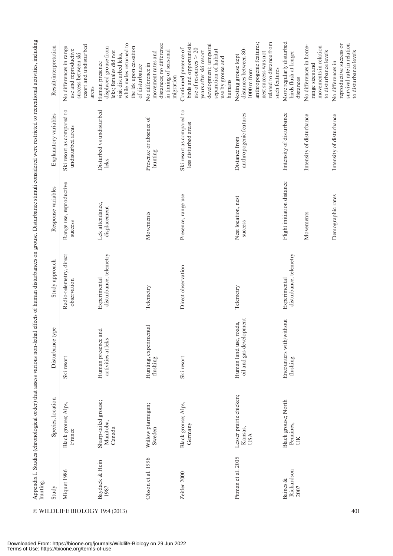|                                | hunting.                       |                                                  | Appendix I. Studies (chronological order) that assess various non-lethal effects of human disturbances on grouse. Disturbance stimuli considered were restricted to recreational activities, including |                                        |                                    |                                                   |                                                                                                                                                                                        |
|--------------------------------|--------------------------------|--------------------------------------------------|--------------------------------------------------------------------------------------------------------------------------------------------------------------------------------------------------------|----------------------------------------|------------------------------------|---------------------------------------------------|----------------------------------------------------------------------------------------------------------------------------------------------------------------------------------------|
|                                | Study                          | Species, location                                | Disturbance type                                                                                                                                                                                       | Study approach                         | Response variables                 | Explanatory variables                             | Result/interpretation                                                                                                                                                                  |
| © WILDLIFE BIOLOGY 19:4 (2013) | Miquet 1986                    | Black grouse; Alps,<br>France                    | resort<br>Ski                                                                                                                                                                                          | Radio-telemetry, direct<br>observation | Range use, reproductive<br>success | Ski resort as compared to<br>undisturbed areas    | resort and undisturbed<br>No differences in range<br>use and reproductive<br>success between ski<br>areas                                                                              |
|                                | Baydack & Hein<br>1987         | Sharp-tailed grouse;<br>Manitoba,<br>Canada      | Human presence and<br>activities at leks                                                                                                                                                               | disturbance, telemetry<br>Experimental | Lek attendance,<br>displacement    | Disturbed vs undisturbed<br>leks                  | while males returned to<br>the lek upon cessation<br>displaced grouse from<br>leks; females did not<br>visit disturbed leks,<br>Human presence<br>of disturbance                       |
|                                | Olsson et al. 1996             | Willow ptarmigan;<br>Sweden                      | Hunting, experimental<br>flushing                                                                                                                                                                      | Telemetry                              | Movements                          | Presence or absence of<br>hunting                 | distances; no difference<br>in timing of seasonal<br>movement rates and<br>No difference in<br>migration                                                                               |
|                                | Zeitler 2000                   | Black grouse; Alps,<br>Germany                   | resort<br>Ski                                                                                                                                                                                          | Direct observation                     | Presence, range use                | Ski resort as compared to<br>less disturbed areas | birds and opportunistic<br>development; temporal<br>Continued presence of<br>use of resources $>$ 20<br>separation of habitat<br>years after ski resort<br>use by grouse and<br>humans |
|                                | Pitman et al. 2005             | Lesser prairie chicken;<br>Kansas,<br><b>USA</b> | and gas development<br>Human land use, roads,<br>$\vec{c}$                                                                                                                                             | Telemetry                              | Nest location, nest<br>success     | anthropogenic features<br>Distance from           | related to distance from<br>anthropogenic features;<br>distances between 80-<br>nest success was not<br>Nesting grouse kept<br>such features<br>1000 m from                            |
|                                | Richardson<br>Baines &<br>2007 | Black grouse; North<br>Pennines,<br>ŬК           | Encounters with/without<br>flushing                                                                                                                                                                    | disturbance, telemetry<br>Experimental | Flight initiation distance         | lintensity of disturbance                         | More regularly disturbed<br>birds flush at longer<br>distances                                                                                                                         |
|                                |                                |                                                  |                                                                                                                                                                                                        |                                        | Movements                          | Intensity of disturbance                          | No differences in home-<br>movements in relation<br>to disturbance levels<br>range sizes and                                                                                           |
| 401                            |                                |                                                  |                                                                                                                                                                                                        |                                        | Demographic rates                  | Intensity of disturbance                          | survival rate in relation<br>reproductive success or<br>to disturbance levels<br>No differences in                                                                                     |

Downloaded From: https://bioone.org/journals/Wildlife-Biology on 29 Jun 2022 Terms of Use: https://bioone.org/terms-of-use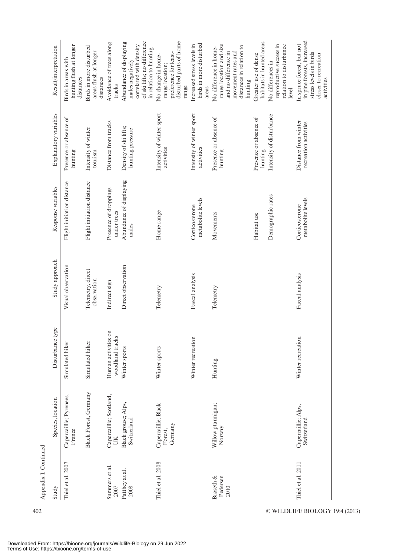| Appendix I. Continued         |                                           |                                        |                                  |                                      |                                               |                                                                                                                                        |
|-------------------------------|-------------------------------------------|----------------------------------------|----------------------------------|--------------------------------------|-----------------------------------------------|----------------------------------------------------------------------------------------------------------------------------------------|
| Study                         | Species, location                         | Disturbance type                       | Study approach                   | Response variables                   | Explanatory variables                         | Result/interpretation                                                                                                                  |
| Thiel et al. 2007             | Capercaillie; Pyrenees,<br>France         | Simulated hiker                        | Visual observation               | Flight initiation distance           | Presence or absence of<br>hunting             | hunting flush at longer<br>Birds in areas with<br>distances                                                                            |
|                               | Black Forest, Germany                     | Simulated hiker                        | Telemetry, direct<br>observation | Flight initiation distance           | Intensity of winter<br>tourism                | Birds in more disturbed<br>areas flush at longer<br>distances                                                                          |
| Summers et al.<br>2007        | Capercaillie; Scotland,<br>ŬК             | Human activities on<br>woodland tracks | Indirect sign                    | Presence of droppings<br>under trees | Distance from tracks                          | Avoidance of trees along<br>tracks                                                                                                     |
| Patthey at al.<br>2008        | Black grouse; Alps,<br>Switzerland        | Winter sports                          | Direct observation               | Abundance of displaying<br>males     | Density of ski lifts;<br>hunting pressure     | of ski lifts; no difference<br>Abundance of displaying<br>correlated with density<br>in relation to hunting<br>males negatively        |
| Thiel et al. 2008             | Capercaillie; Black<br>Germany<br>Forest, | Winter sports                          | Telemetry                        | Home range                           | Intensity of winter sport<br>activities       | disturbed parts of home<br>preference for least-<br>No change in home-<br>range location;<br>range                                     |
|                               |                                           | Winter recreation                      | Faecal analysis                  | metabolite levels<br>Corticosterone  | Intensity of winter sport<br>activities       | birds in more disturbed<br>Increased stress levels in<br>areas                                                                         |
| Brøseth &<br>Pedersen<br>2010 | Willow ptarmigan;<br>Norway               | Hunting                                | Telemetry                        | Movements                            | Presence or absence of<br>hunting             | range location and size<br>distances in relation to<br>No difference in home-<br>movement rates and<br>and no difference in<br>hunting |
|                               |                                           |                                        |                                  | Habitat use                          | Presence or absence of<br>hunting             | habitats in hunted areas<br>Greater use of dense                                                                                       |
|                               |                                           |                                        |                                  | Demographic rates                    | Intensity of disturbance                      | reproductive success in<br>relation to disturbance<br>No differences in<br>level                                                       |
| Thiel et al. 2011             | Capercaillie; Alps,<br>Switzerland        | Winter recreation                      | Faecal analysis                  | metabolite levels<br>Corticosterone  | Distance from winter<br>recreation activities | in pine forests, increased<br>In spruce forest, but not<br>stress levels in birds<br>closer to recreation<br>activities                |

WILDLIFE BIOLOGY 19:4 (2013)